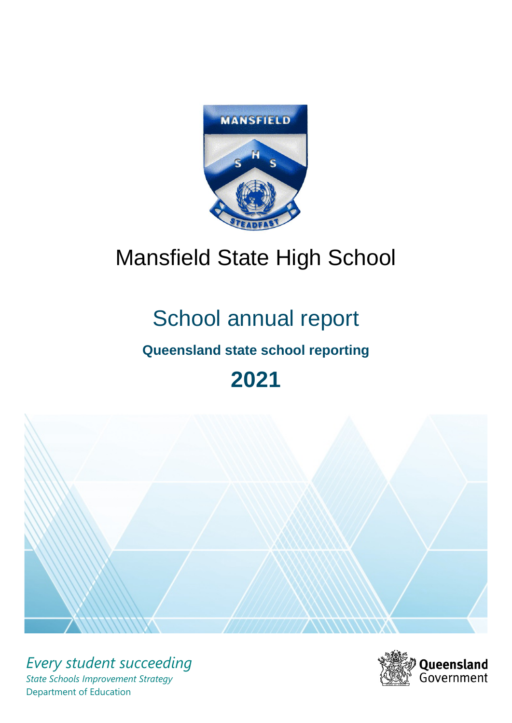

# Mansfield State High School

# School annual report

# **Queensland state school reporting**

# **2021**



*Every student succeeding State Schools Improvement Strategy* Department of Education

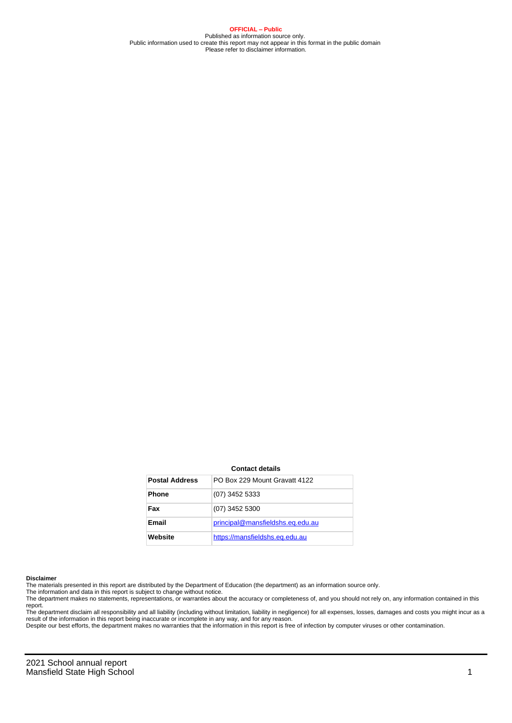**OFFICIAL – Public** Published as information source only. Public information used to create this report may not appear in this format in the public domain Please refer to disclaimer information.

#### **Contact details**

| <b>Postal Address</b> | PO Box 229 Mount Gravatt 4122    |
|-----------------------|----------------------------------|
| <b>Phone</b>          | $(07)$ 3452 5333                 |
| Fax                   | $(07)$ 3452 5300                 |
| <b>Email</b>          | principal@mansfieldshs.eq.edu.au |
| Website               | https://mansfieldshs.eq.edu.au   |

#### **Disclaimer**

The materials presented in this report are distributed by the Department of Education (the department) as an information source only.

The information and data in this report is subject to change without notice.<br>The department makes no statements, representations, or warranties about the accuracy or completeness of, and you should not rely on, any informa report.

The department disclaim all responsibility and all liability (including without limitation, liability in negligence) for all expenses, losses, damages and costs you might incur as a result of the information in this report being inaccurate or incomplete in any way, and for any reason.

Despite our best efforts, the department makes no warranties that the information in this report is free of infection by computer viruses or other contamination.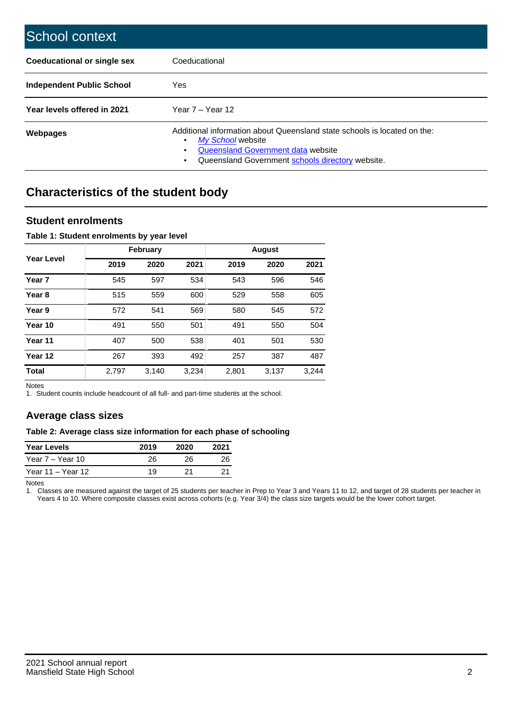| School context                   |                                                                                                                                                                                              |
|----------------------------------|----------------------------------------------------------------------------------------------------------------------------------------------------------------------------------------------|
| Coeducational or single sex      | Coeducational                                                                                                                                                                                |
| <b>Independent Public School</b> | <b>Yes</b>                                                                                                                                                                                   |
| Year levels offered in 2021      | Year $7 -$ Year 12                                                                                                                                                                           |
| Webpages                         | Additional information about Queensland state schools is located on the:<br>My School website<br>Queensland Government data website<br>Queensland Government schools directory website.<br>٠ |

# **Characteristics of the student body**

## **Student enrolments**

### **Table 1: Student enrolments by year level**

|                   |       | <b>February</b> |       |       | <b>August</b> |       |
|-------------------|-------|-----------------|-------|-------|---------------|-------|
| Year Level        | 2019  | 2020            | 2021  | 2019  | 2020          | 2021  |
| Year <sub>7</sub> | 545   | 597             | 534   | 543   | 596           | 546   |
| Year <sub>8</sub> | 515   | 559             | 600   | 529   | 558           | 605   |
| Year 9            | 572   | 541             | 569   | 580   | 545           | 572   |
| Year 10           | 491   | 550             | 501   | 491   | 550           | 504   |
| Year 11           | 407   | 500             | 538   | 401   | 501           | 530   |
| Year 12           | 267   | 393             | 492   | 257   | 387           | 487   |
| <b>Total</b>      | 2,797 | 3,140           | 3,234 | 2,801 | 3,137         | 3,244 |

Notes

1. Student counts include headcount of all full- and part-time students at the school.

## **Average class sizes**

#### **Table 2: Average class size information for each phase of schooling**

| <b>Year Levels</b> | 2019 | 2020 | 2021 |
|--------------------|------|------|------|
| Year 7 – Year 10   | 26   | 26   | 26   |
| Year 11 – Year 12  | 19   | 21   |      |

Notes

1. Classes are measured against the target of 25 students per teacher in Prep to Year 3 and Years 11 to 12, and target of 28 students per teacher in Years 4 to 10. Where composite classes exist across cohorts (e.g. Year 3/4) the class size targets would be the lower cohort target.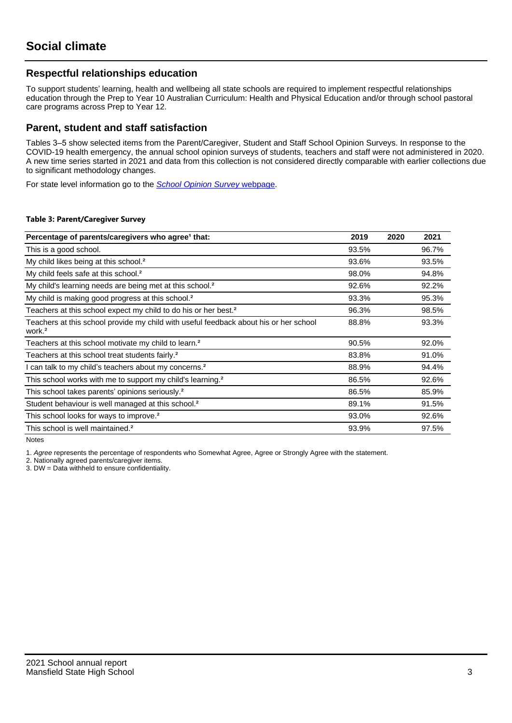## **Respectful relationships education**

To support students' learning, health and wellbeing all state schools are required to implement respectful relationships education through the Prep to Year 10 Australian Curriculum: Health and Physical Education and/or through school pastoral care programs across Prep to Year 12.

## **Parent, student and staff satisfaction**

Tables 3–5 show selected items from the Parent/Caregiver, Student and Staff School Opinion Surveys. In response to the COVID-19 health emergency, the annual school opinion surveys of students, teachers and staff were not administered in 2020. A new time series started in 2021 and data from this collection is not considered directly comparable with earlier collections due to significant methodology changes.

For state level information go to the **[School Opinion Survey](https://qed.qld.gov.au/publications/reports/statistics/schooling/schools/schoolopinionsurvey) webpage**.

#### **Table 3: Parent/Caregiver Survey**

| Percentage of parents/caregivers who agree <sup>1</sup> that:                                               | 2019  | 2020 | 2021  |
|-------------------------------------------------------------------------------------------------------------|-------|------|-------|
| This is a good school.                                                                                      | 93.5% |      | 96.7% |
| My child likes being at this school. <sup>2</sup>                                                           | 93.6% |      | 93.5% |
| My child feels safe at this school. <sup>2</sup>                                                            | 98.0% |      | 94.8% |
| My child's learning needs are being met at this school. <sup>2</sup>                                        | 92.6% |      | 92.2% |
| My child is making good progress at this school. <sup>2</sup>                                               | 93.3% |      | 95.3% |
| Teachers at this school expect my child to do his or her best. <sup>2</sup>                                 | 96.3% |      | 98.5% |
| Teachers at this school provide my child with useful feedback about his or her school<br>work. <sup>2</sup> | 88.8% |      | 93.3% |
| Teachers at this school motivate my child to learn. <sup>2</sup>                                            | 90.5% |      | 92.0% |
| Teachers at this school treat students fairly. <sup>2</sup>                                                 | 83.8% |      | 91.0% |
| can talk to my child's teachers about my concerns. <sup>2</sup>                                             | 88.9% |      | 94.4% |
| This school works with me to support my child's learning. <sup>2</sup>                                      | 86.5% |      | 92.6% |
| This school takes parents' opinions seriously. <sup>2</sup>                                                 | 86.5% |      | 85.9% |
| Student behaviour is well managed at this school. <sup>2</sup>                                              | 89.1% |      | 91.5% |
| This school looks for ways to improve. <sup>2</sup>                                                         | 93.0% |      | 92.6% |
| This school is well maintained. <sup>2</sup>                                                                | 93.9% |      | 97.5% |

Notes

1. Agree represents the percentage of respondents who Somewhat Agree, Agree or Strongly Agree with the statement.

2. Nationally agreed parents/caregiver items.

3. DW = Data withheld to ensure confidentiality.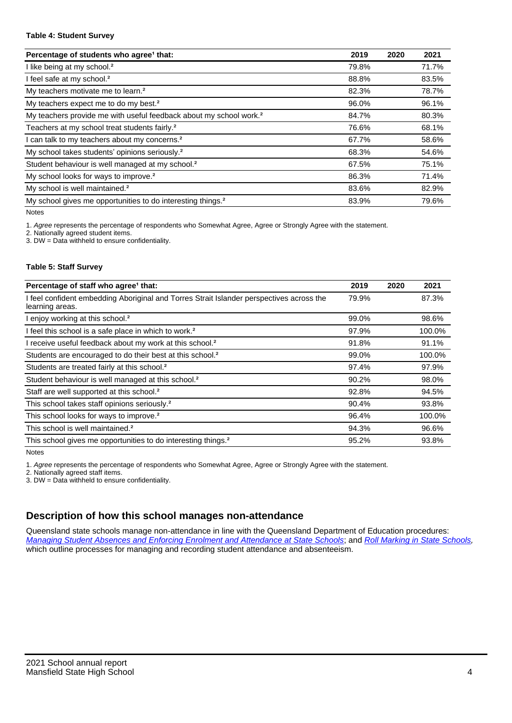#### **Table 4: Student Survey**

| Percentage of students who agree <sup>1</sup> that:                            | 2019  | 2020 | 2021  |
|--------------------------------------------------------------------------------|-------|------|-------|
| I like being at my school. <sup>2</sup>                                        | 79.8% |      | 71.7% |
| I feel safe at my school. <sup>2</sup>                                         | 88.8% |      | 83.5% |
| My teachers motivate me to learn. <sup>2</sup>                                 | 82.3% |      | 78.7% |
| My teachers expect me to do my best. <sup>2</sup>                              | 96.0% |      | 96.1% |
| My teachers provide me with useful feedback about my school work. <sup>2</sup> | 84.7% |      | 80.3% |
| Teachers at my school treat students fairly. <sup>2</sup>                      | 76.6% |      | 68.1% |
| I can talk to my teachers about my concerns. <sup>2</sup>                      | 67.7% |      | 58.6% |
| My school takes students' opinions seriously. <sup>2</sup>                     | 68.3% |      | 54.6% |
| Student behaviour is well managed at my school. <sup>2</sup>                   | 67.5% |      | 75.1% |
| My school looks for ways to improve. <sup>2</sup>                              | 86.3% |      | 71.4% |
| My school is well maintained. <sup>2</sup>                                     | 83.6% |      | 82.9% |
| My school gives me opportunities to do interesting things. <sup>2</sup>        | 83.9% |      | 79.6% |

Notes

1. Agree represents the percentage of respondents who Somewhat Agree, Agree or Strongly Agree with the statement.

2. Nationally agreed student items.

3. DW = Data withheld to ensure confidentiality.

### **Table 5: Staff Survey**

| Percentage of staff who agree <sup>1</sup> that:                                                            | 2019  | 2020 | 2021   |
|-------------------------------------------------------------------------------------------------------------|-------|------|--------|
| I feel confident embedding Aboriginal and Torres Strait Islander perspectives across the<br>learning areas. | 79.9% |      | 87.3%  |
| I enjoy working at this school. <sup>2</sup>                                                                | 99.0% |      | 98.6%  |
| I feel this school is a safe place in which to work. <sup>2</sup>                                           | 97.9% |      | 100.0% |
| I receive useful feedback about my work at this school. <sup>2</sup>                                        | 91.8% |      | 91.1%  |
| Students are encouraged to do their best at this school. <sup>2</sup>                                       | 99.0% |      | 100.0% |
| Students are treated fairly at this school. <sup>2</sup>                                                    | 97.4% |      | 97.9%  |
| Student behaviour is well managed at this school. <sup>2</sup>                                              | 90.2% |      | 98.0%  |
| Staff are well supported at this school. <sup>2</sup>                                                       | 92.8% |      | 94.5%  |
| This school takes staff opinions seriously. <sup>2</sup>                                                    | 90.4% |      | 93.8%  |
| This school looks for ways to improve. <sup>2</sup>                                                         | 96.4% |      | 100.0% |
| This school is well maintained. <sup>2</sup>                                                                | 94.3% |      | 96.6%  |
| This school gives me opportunities to do interesting things. <sup>2</sup>                                   | 95.2% |      | 93.8%  |

Notes

1. Agree represents the percentage of respondents who Somewhat Agree, Agree or Strongly Agree with the statement.

2. Nationally agreed staff items.

3. DW = Data withheld to ensure confidentiality.

# **Description of how this school manages non-attendance**

Queensland state schools manage non-attendance in line with the Queensland Department of Education procedures: [Managing Student Absences and Enforcing Enrolment and Attendance at State Schools](https://ppr.qed.qld.gov.au/pp/managing-student-absences-and-enforcing-enrolment-and-attendance-at-state-schools-procedure); and [Roll Marking in State Schools,](https://ppr.qed.qld.gov.au/pp/roll-marking-in-state-schools-procedure) which outline processes for managing and recording student attendance and absenteeism.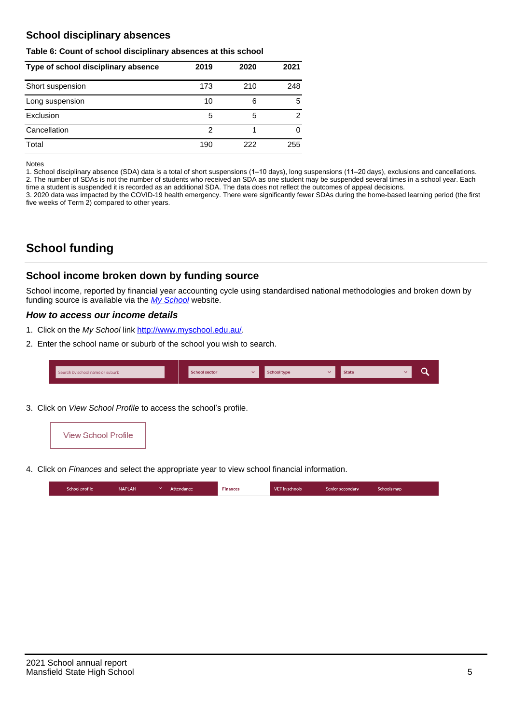# **School disciplinary absences**

#### **Table 6: Count of school disciplinary absences at this school**

| Type of school disciplinary absence | 2019 | 2020 | 2021 |
|-------------------------------------|------|------|------|
| Short suspension                    | 173  | 210  | 248  |
| Long suspension                     | 10   | 6    | 5    |
| Exclusion                           | 5    | 5    | 2    |
| Cancellation                        | 2    |      | 0    |
| Total                               | 190  | 222  | 255  |

Notes

1. School disciplinary absence (SDA) data is a total of short suspensions (1–10 days), long suspensions (11–20 days), exclusions and cancellations. 2. The number of SDAs is not the number of students who received an SDA as one student may be suspended several times in a school year. Each time a student is suspended it is recorded as an additional SDA. The data does not reflect the outcomes of appeal decisions.

3. 2020 data was impacted by the COVID-19 health emergency. There were significantly fewer SDAs during the home-based learning period (the first five weeks of Term 2) compared to other years.

# **School funding**

## **School income broken down by funding source**

School income, reported by financial year accounting cycle using standardised national methodologies and broken down by funding source is available via the [My School](http://www.myschool.edu.au/) website.

## **How to access our income details**

- 1. Click on the My School link <http://www.myschool.edu.au/>.
- 2. Enter the school name or suburb of the school you wish to search.

| Search by school name or suburb | <b>School sector</b> | School type | <b>State</b> |  |
|---------------------------------|----------------------|-------------|--------------|--|
|                                 |                      |             |              |  |

3. Click on View School Profile to access the school's profile.



4. Click on Finances and select the appropriate year to view school financial information.

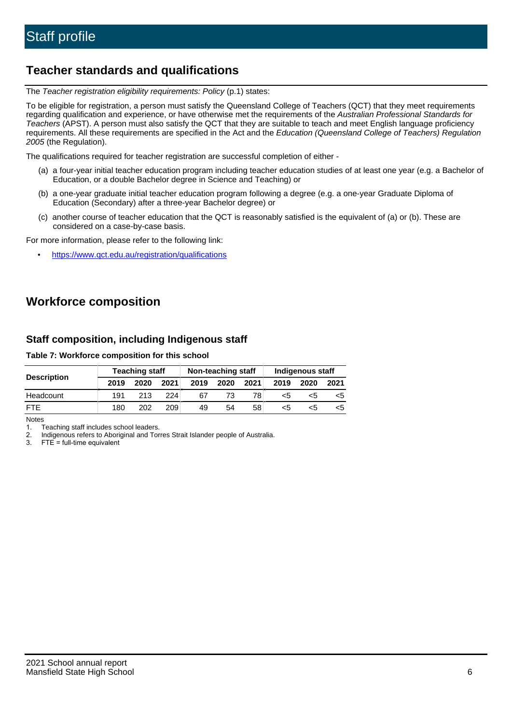# **Teacher standards and qualifications**

The Teacher registration eligibility requirements: Policy (p.1) states:

To be eligible for registration, a person must satisfy the Queensland College of Teachers (QCT) that they meet requirements regarding qualification and experience, or have otherwise met the requirements of the Australian Professional Standards for Teachers (APST). A person must also satisfy the QCT that they are suitable to teach and meet English language proficiency requirements. All these requirements are specified in the Act and the Education (Queensland College of Teachers) Regulation 2005 (the Regulation).

The qualifications required for teacher registration are successful completion of either -

- (a) a four-year initial teacher education program including teacher education studies of at least one year (e.g. a Bachelor of Education, or a double Bachelor degree in Science and Teaching) or
- (b) a one-year graduate initial teacher education program following a degree (e.g. a one-year Graduate Diploma of Education (Secondary) after a three-year Bachelor degree) or
- (c) another course of teacher education that the QCT is reasonably satisfied is the equivalent of (a) or (b). These are considered on a case-by-case basis.

For more information, please refer to the following link:

• <https://www.qct.edu.au/registration/qualifications>

# **Workforce composition**

## **Staff composition, including Indigenous staff**

### **Table 7: Workforce composition for this school**

|                    | <b>Teaching staff</b> |      |      | Non-teaching staff |      |      | Indigenous staff |      |      |
|--------------------|-----------------------|------|------|--------------------|------|------|------------------|------|------|
| <b>Description</b> | 2019                  | 2020 | 2021 | 2019               | 2020 | 2021 | 2019             | 2020 | 2021 |
| Headcount          | 191                   | 213  | 224  | 67                 | 73   | 78   | <5               | <5   | <5   |
| <b>FTF</b>         | 180                   | 202  | 209  | 49                 | 54   | 58   | <5               | <:   | ה>   |

Notes

1. Teaching staff includes school leaders.

2. Indigenous refers to Aboriginal and Torres Strait Islander people of Australia.

3. FTE = full-time equivalent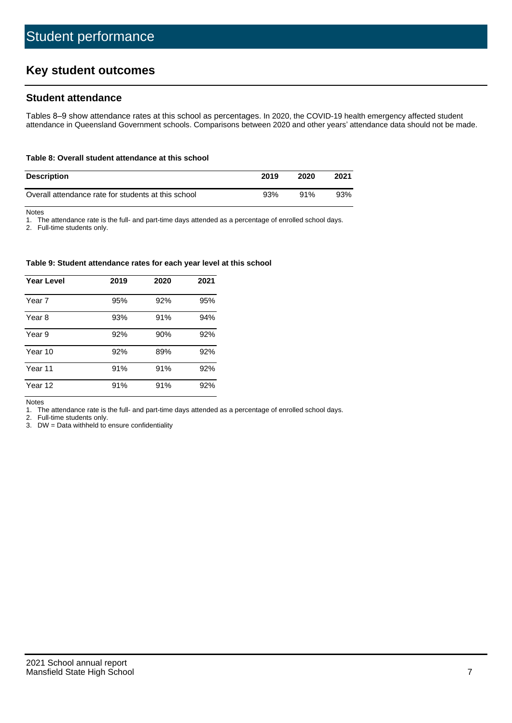# **Key student outcomes**

## **Student attendance**

Tables 8–9 show attendance rates at this school as percentages. In 2020, the COVID-19 health emergency affected student attendance in Queensland Government schools. Comparisons between 2020 and other years' attendance data should not be made.

#### **Table 8: Overall student attendance at this school**

| <b>Description</b>                                  | 2019 | 2020 | 2021 |
|-----------------------------------------------------|------|------|------|
| Overall attendance rate for students at this school | 93%  | 91%  | 93%  |

Notes

1. The attendance rate is the full- and part-time days attended as a percentage of enrolled school days.

2. Full-time students only.

#### **Table 9: Student attendance rates for each year level at this school**

| <b>Year Level</b> | 2019 | 2020 | 2021 |
|-------------------|------|------|------|
| Year 7            | 95%  | 92%  | 95%  |
| Year 8            | 93%  | 91%  | 94%  |
| Year 9            | 92%  | 90%  | 92%  |
| Year 10           | 92%  | 89%  | 92%  |
| Year 11           | 91%  | 91%  | 92%  |
| Year 12           | 91%  | 91%  | 92%  |

Notes

1. The attendance rate is the full- and part-time days attended as a percentage of enrolled school days.

2. Full-time students only.

3. DW = Data withheld to ensure confidentiality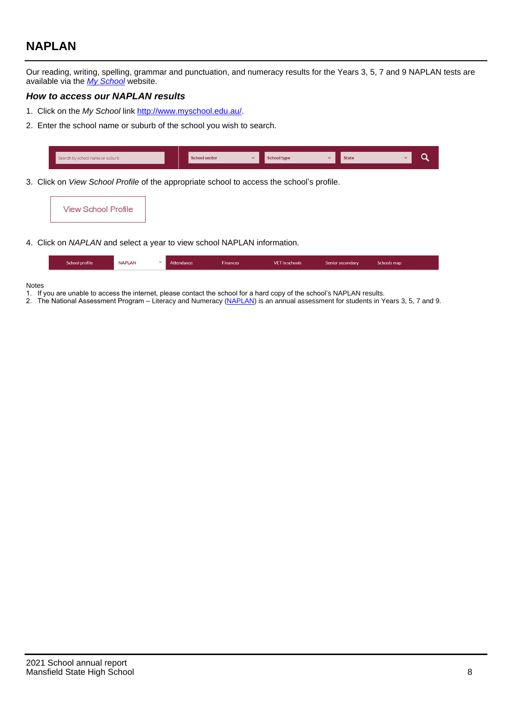# **NAPLAN**

Our reading, writing, spelling, grammar and punctuation, and numeracy results for the Years 3, 5, 7 and 9 NAPLAN tests are available via the [My School](http://www.myschool.edu.au/) website.

### **How to access our NAPLAN results**

- 1. Click on the My School link <http://www.myschool.edu.au/>.
- 2. Enter the school name or suburb of the school you wish to search.

| Search by school name or suburb | <b>School sector</b> | <b>School type</b>                        |          | <b>State</b> |  |
|---------------------------------|----------------------|-------------------------------------------|----------|--------------|--|
|                                 |                      |                                           |          |              |  |
|                                 |                      | $\sim$ $\sim$ $\sim$ $\sim$ $\sim$ $\sim$ | $\cdots$ |              |  |

3. Click on View School Profile of the appropriate school to access the school's profile.



4. Click on NAPLAN and select a year to view school NAPLAN information.

|  | School profile | <b>NAPLAN</b> |  | Attendance | <b>Finances</b> | <b>VET</b> in schools | Senior secondary | Schools map |  |
|--|----------------|---------------|--|------------|-----------------|-----------------------|------------------|-------------|--|
|--|----------------|---------------|--|------------|-----------------|-----------------------|------------------|-------------|--|

#### Notes

- 1. If you are unable to access the internet, please contact the school for a hard copy of the school's NAPLAN results.
- 2. The National Assessment Program Literacy and Numeracy ([NAPLAN\)](http://www.nap.edu.au/naplan) is an annual assessment for students in Years 3, 5, 7 and 9.